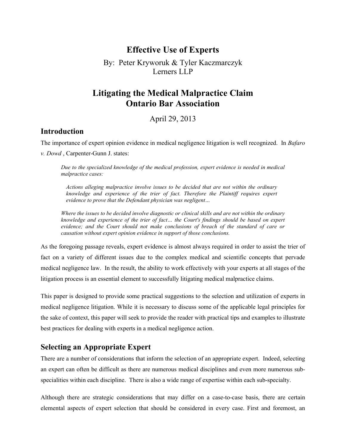## **Effective Use of Experts**

By: Peter Kryworuk & Tyler Kaczmarczyk Lerners LLP

# **Litigating the Medical Malpractice Claim Ontario Bar Association**

April 29, 2013

#### **Introduction**

The importance of expert opinion evidence in medical negligence litigation is well recognized. In *Bafaro* 

*v. Dowd* , Carpenter-Gunn J. states:

*Due to the specialized knowledge of the medical profession, expert evidence is needed in medical malpractice cases:*

*Actions alleging malpractice involve issues to be decided that are not within the ordinary knowledge and experience of the trier of fact. Therefore the Plaintiff requires expert evidence to prove that the Defendant physician was negligent…*

*Where the issues to be decided involve diagnostic or clinical skills and are not within the ordinary knowledge and experience of the trier of fact… the Court's findings should be based on expert evidence; and the Court should not make conclusions of breach of the standard of care or causation without expert opinion evidence in support of those conclusions.*

As the foregoing passage reveals, expert evidence is almost always required in order to assist the trier of fact on a variety of different issues due to the complex medical and scientific concepts that pervade medical negligence law. In the result, the ability to work effectively with your experts at all stages of the litigation process is an essential element to successfully litigating medical malpractice claims.

This paper is designed to provide some practical suggestions to the selection and utilization of experts in medical negligence litigation. While it is necessary to discuss some of the applicable legal principles for the sake of context, this paper will seek to provide the reader with practical tips and examples to illustrate best practices for dealing with experts in a medical negligence action.

## **Selecting an Appropriate Expert**

There are a number of considerations that inform the selection of an appropriate expert. Indeed, selecting an expert can often be difficult as there are numerous medical disciplines and even more numerous subspecialities within each discipline. There is also a wide range of expertise within each sub-specialty.

Although there are strategic considerations that may differ on a case-to-case basis, there are certain elemental aspects of expert selection that should be considered in every case. First and foremost, an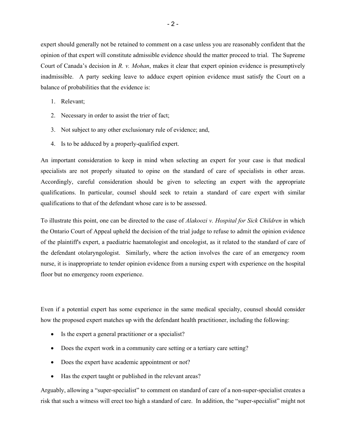expert should generally not be retained to comment on a case unless you are reasonably confident that the opinion of that expert will constitute admissible evidence should the matter proceed to trial. The Supreme Court of Canada's decision in *R. v. Mohan*, makes it clear that expert opinion evidence is presumptively inadmissible. A party seeking leave to adduce expert opinion evidence must satisfy the Court on a balance of probabilities that the evidence is:

- 1. Relevant;
- 2. Necessary in order to assist the trier of fact;
- 3. Not subject to any other exclusionary rule of evidence; and,
- 4. Is to be adduced by a properly-qualified expert.

An important consideration to keep in mind when selecting an expert for your case is that medical specialists are not properly situated to opine on the standard of care of specialists in other areas. Accordingly, careful consideration should be given to selecting an expert with the appropriate qualifications. In particular, counsel should seek to retain a standard of care expert with similar qualifications to that of the defendant whose care is to be assessed.

To illustrate this point, one can be directed to the case of *Alakoozi v. Hospital for Sick Children* in which the Ontario Court of Appeal upheld the decision of the trial judge to refuse to admit the opinion evidence of the plaintiff's expert, a paediatric haematologist and oncologist, as it related to the standard of care of the defendant otolaryngologist. Similarly, where the action involves the care of an emergency room nurse, it is inappropriate to tender opinion evidence from a nursing expert with experience on the hospital floor but no emergency room experience.

Even if a potential expert has some experience in the same medical specialty, counsel should consider how the proposed expert matches up with the defendant health practitioner, including the following:

- Is the expert a general practitioner or a specialist?
- Does the expert work in a community care setting or a tertiary care setting?
- Does the expert have academic appointment or not?
- Has the expert taught or published in the relevant areas?

Arguably, allowing a "super-specialist" to comment on standard of care of a non-super-specialist creates a risk that such a witness will erect too high a standard of care. In addition, the "super-specialist" might not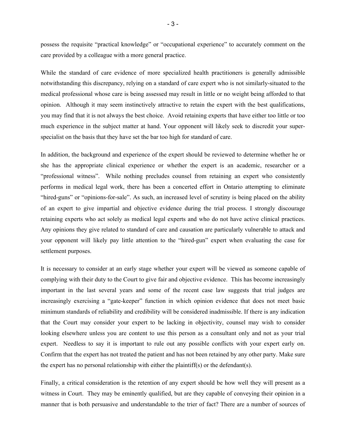possess the requisite "practical knowledge" or "occupational experience" to accurately comment on the care provided by a colleague with a more general practice.

While the standard of care evidence of more specialized health practitioners is generally admissible notwithstanding this discrepancy, relying on a standard of care expert who is not similarly-situated to the medical professional whose care is being assessed may result in little or no weight being afforded to that opinion. Although it may seem instinctively attractive to retain the expert with the best qualifications, you may find that it is not always the best choice. Avoid retaining experts that have either too little or too much experience in the subject matter at hand. Your opponent will likely seek to discredit your superspecialist on the basis that they have set the bar too high for standard of care.

In addition, the background and experience of the expert should be reviewed to determine whether he or she has the appropriate clinical experience or whether the expert is an academic, researcher or a "professional witness". While nothing precludes counsel from retaining an expert who consistently performs in medical legal work, there has been a concerted effort in Ontario attempting to eliminate "hired-guns" or "opinions-for-sale". As such, an increased level of scrutiny is being placed on the ability of an expert to give impartial and objective evidence during the trial process. I strongly discourage retaining experts who act solely as medical legal experts and who do not have active clinical practices. Any opinions they give related to standard of care and causation are particularly vulnerable to attack and your opponent will likely pay little attention to the "hired-gun" expert when evaluating the case for settlement purposes.

It is necessary to consider at an early stage whether your expert will be viewed as someone capable of complying with their duty to the Court to give fair and objective evidence. This has become increasingly important in the last several years and some of the recent case law suggests that trial judges are increasingly exercising a "gate-keeper" function in which opinion evidence that does not meet basic minimum standards of reliability and credibility will be considered inadmissible. If there is any indication that the Court may consider your expert to be lacking in objectivity, counsel may wish to consider looking elsewhere unless you are content to use this person as a consultant only and not as your trial expert. Needless to say it is important to rule out any possible conflicts with your expert early on. Confirm that the expert has not treated the patient and has not been retained by any other party. Make sure the expert has no personal relationship with either the plaintiff(s) or the defendant(s).

Finally, a critical consideration is the retention of any expert should be how well they will present as a witness in Court. They may be eminently qualified, but are they capable of conveying their opinion in a manner that is both persuasive and understandable to the trier of fact? There are a number of sources of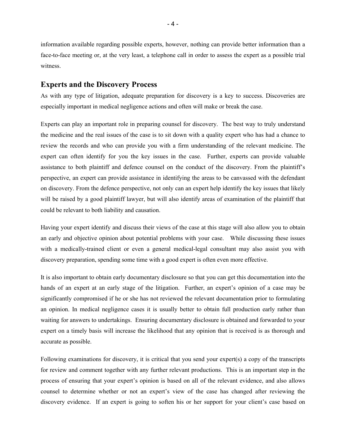information available regarding possible experts, however, nothing can provide better information than a face-to-face meeting or, at the very least, a telephone call in order to assess the expert as a possible trial witness.

#### **Experts and the Discovery Process**

As with any type of litigation, adequate preparation for discovery is a key to success. Discoveries are especially important in medical negligence actions and often will make or break the case.

Experts can play an important role in preparing counsel for discovery. The best way to truly understand the medicine and the real issues of the case is to sit down with a quality expert who has had a chance to review the records and who can provide you with a firm understanding of the relevant medicine. The expert can often identify for you the key issues in the case. Further, experts can provide valuable assistance to both plaintiff and defence counsel on the conduct of the discovery. From the plaintiff's perspective, an expert can provide assistance in identifying the areas to be canvassed with the defendant on discovery. From the defence perspective, not only can an expert help identify the key issues that likely will be raised by a good plaintiff lawyer, but will also identify areas of examination of the plaintiff that could be relevant to both liability and causation.

Having your expert identify and discuss their views of the case at this stage will also allow you to obtain an early and objective opinion about potential problems with your case. While discussing these issues with a medically-trained client or even a general medical-legal consultant may also assist you with discovery preparation, spending some time with a good expert is often even more effective.

It is also important to obtain early documentary disclosure so that you can get this documentation into the hands of an expert at an early stage of the litigation. Further, an expert's opinion of a case may be significantly compromised if he or she has not reviewed the relevant documentation prior to formulating an opinion. In medical negligence cases it is usually better to obtain full production early rather than waiting for answers to undertakings. Ensuring documentary disclosure is obtained and forwarded to your expert on a timely basis will increase the likelihood that any opinion that is received is as thorough and accurate as possible.

Following examinations for discovery, it is critical that you send your expert(s) a copy of the transcripts for review and comment together with any further relevant productions. This is an important step in the process of ensuring that your expert's opinion is based on all of the relevant evidence, and also allows counsel to determine whether or not an expert's view of the case has changed after reviewing the discovery evidence. If an expert is going to soften his or her support for your client's case based on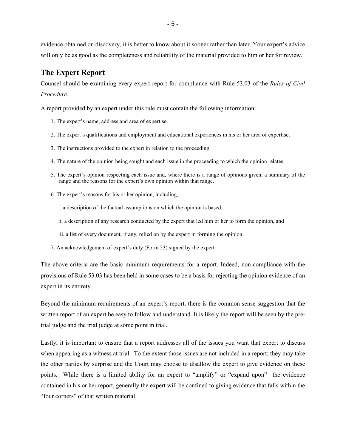evidence obtained on discovery, it is better to know about it sooner rather than later. Your expert's advice will only be as good as the completeness and reliability of the material provided to him or her for review.

## **The Expert Report**

Counsel should be examining every expert report for compliance with Rule 53.03 of the *Rules of Civil Procedure*.

A report provided by an expert under this rule must contain the following information:

- 1. The expert's name, address and area of expertise.
- 2. The expert's qualifications and employment and educational experiences in his or her area of expertise.
- 3. The instructions provided to the expert in relation to the proceeding.
- 4. The nature of the opinion being sought and each issue in the proceeding to which the opinion relates.
- 5. The expert's opinion respecting each issue and, where there is a range of opinions given, a summary of the range and the reasons for the expert's own opinion within that range.
- 6. The expert's reasons for his or her opinion, including,
	- i. a description of the factual assumptions on which the opinion is based,
	- ii. a description of any research conducted by the expert that led him or her to form the opinion, and
	- iii. a list of every document, if any, relied on by the expert in forming the opinion.
- 7. An acknowledgement of expert's duty (Form 53) signed by the expert.

The above criteria are the basic minimum requirements for a report. Indeed, non-compliance with the provisions of Rule 53.03 has been held in some cases to be a basis for rejecting the opinion evidence of an expert in its entirety.

Beyond the minimum requirements of an expert's report, there is the common sense suggestion that the written report of an expert be easy to follow and understand. It is likely the report will be seen by the pretrial judge and the trial judge at some point in trial.

Lastly, it is important to ensure that a report addresses all of the issues you want that expert to discuss when appearing as a witness at trial. To the extent those issues are not included in a report; they may take the other parties by surprise and the Court may choose to disallow the expert to give evidence on these points. While there is a limited ability for an expert to "amplify" or "expand upon" the evidence contained in his or her report, generally the expert will be confined to giving evidence that falls within the "four corners" of that written material.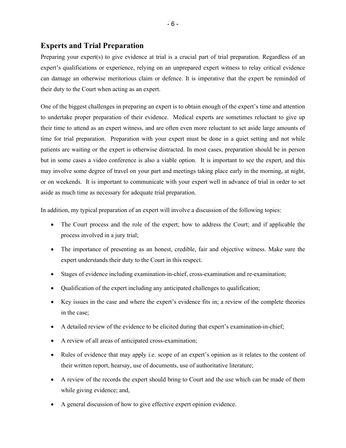### **Experts and Trial Preparation**

Preparing your expert(s) to give evidence at trial is a crucial part of trial preparation. Regardless of an expert's qualifications or experience, relying on an unprepared expert witness to relay critical evidence can damage an otherwise meritorious claim or defence. It is imperative that the expert be reminded of their duty to the Court when acting as an expert.

One of the biggest challenges in preparing an expert is to obtain enough of the expert's time and attention to undertake proper preparation of their evidence. Medical experts are sometimes reluctant to give up their time to attend as an expert witness, and are often even more reluctant to set aside large amounts of time for trial preparation. Preparation with your expert must be done in a quiet setting and not while patients are waiting or the expert is otherwise distracted. In most cases, preparation should be in person but in some cases a video conference is also a viable option. It is important to see the expert, and this may involve some degree of travel on your part and meetings taking place early in the morning, at night, or on weekends. It is important to communicate with your expert well in advance of trial in order to set aside as much time as necessary for adequate trial preparation.

In addition, my typical preparation of an expert will involve a discussion of the following topics:

- The Court process and the role of the expert; how to address the Court; and if applicable the process involved in a jury trial;
- The importance of presenting as an honest, credible, fair and objective witness. Make sure the expert understands their duty to the Court in this respect.
- Stages of evidence including examination-in-chief, cross-examination and re-examination;
- Qualification of the expert including any anticipated challenges to qualification;
- Key issues in the case and where the expert's evidence fits in; a review of the complete theories in the case;
- A detailed review of the evidence to be elicited during that expert's examination-in-chief;
- A review of all areas of anticipated cross-examination;
- Rules of evidence that may apply i.e. scope of an expert's opinion as it relates to the content of their written report, hearsay, use of documents, use of authoritative literature;
- A review of the records the expert should bring to Court and the use which can be made of them while giving evidence; and,
- A general discussion of how to give effective expert opinion evidence.